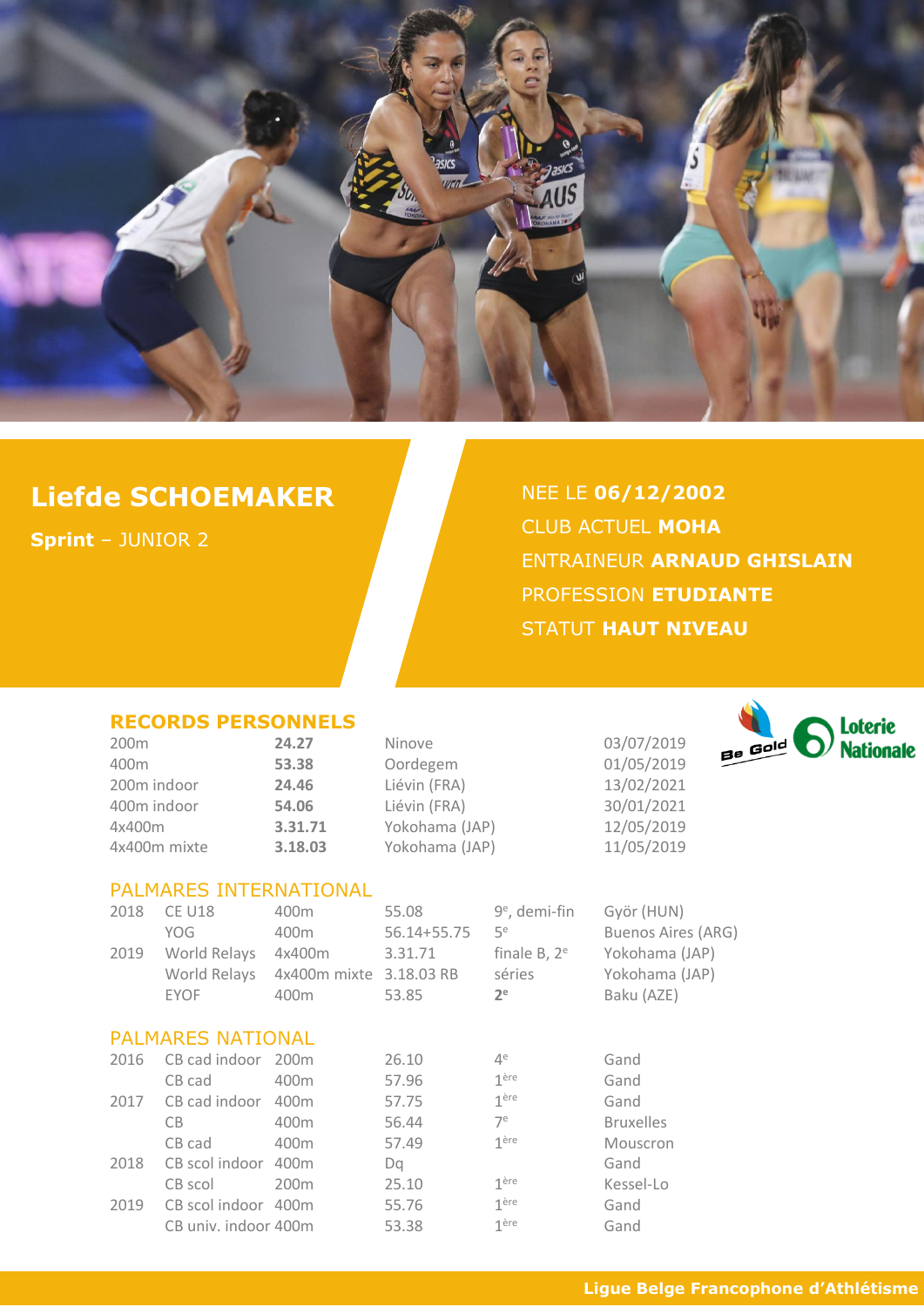

# **Liefde SCHOEMAKER**

**Sprint** – JUNIOR 2

NEE LE **06/12/2002** CLUB ACTUEL **MOHA** ENTRAINEUR **ARNAUD GHISLAIN** PROFESSION **ETUDIANTE** STATUT **HAUT NIVEAU**

#### **RECORDS PERSONNELS**

| 200 <sub>m</sub> | 24.27   |
|------------------|---------|
| 400m             | 53.38   |
| 200m indoor      | 24.46   |
| 400m indoor      | 54.06   |
| 4x400m           | 3.31.71 |
| 4x400m mixte     | 3.18.03 |

Ninove 03/07/2019 400m **53.38** Oordegem 01/05/2019 200m indoor **24.46** Liévin (FRA) 13/02/2021 400m indoor **54.06** Liévin (FRA) 30/01/2021 4x400m **3.31.71** Yokohama (JAP) 12/05/2019

4x400m mixte **3.18.03** Yokohama (JAP) 11/05/2019



#### PALMARES INTERNATIONAL

| 2018 | <b>CE U18</b>            | 400 <sub>m</sub>        | 55.08       | $9^e$ , demi-fin   | Györ (HUN)                |
|------|--------------------------|-------------------------|-------------|--------------------|---------------------------|
|      | YOG.                     | 400 <sub>m</sub>        | 56.14+55.75 | 5 <sup>e</sup>     | <b>Buenos Aires (ARG)</b> |
| 2019 | World Relays             | 4x400m                  | 3.31.71     | finale $B$ , $2^e$ | Yokohama (JAP)            |
|      | World Relays             | 4x400m mixte 3.18.03 RB |             | séries             | Yokohama (JAP)            |
|      | <b>EYOF</b>              | 400 <sub>m</sub>        | 53.85       | 2 <sup>e</sup>     | Baku (AZE)                |
|      | <b>PALMARES NATIONAL</b> |                         |             |                    |                           |
| 2016 | CB cad indoor 200m       |                         | 26.10       | $4^e$              | Gand                      |
|      | CB cad                   | 400m                    | 57.96       | 1 <sup>ère</sup>   | Gand                      |
| 2017 | CB cad indoor            | 400 <sub>m</sub>        | 57.75       | 1 <sup>ère</sup>   | Gand                      |
|      | CB                       | 400 <sub>m</sub>        | 56.44       | 7 <sup>e</sup>     | <b>Bruxelles</b>          |
|      | CB cad                   | 400 <sub>m</sub>        | 57.49       | 1 <sup>ère</sup>   | Mouscron                  |
| 2018 | CB scol indoor           | 400 <sub>m</sub>        | Da          |                    | Gand                      |
|      | CB scol                  | 200 <sub>m</sub>        | 25.10       | 1 <sup>ère</sup>   | Kessel-Lo                 |
| 2019 | CB scol indoor 400m      |                         | 55.76       | 1 <sup>ère</sup>   | Gand                      |
|      | CB univ. indoor 400m     |                         | 53.38       | 1 <sup>ère</sup>   | Gand                      |